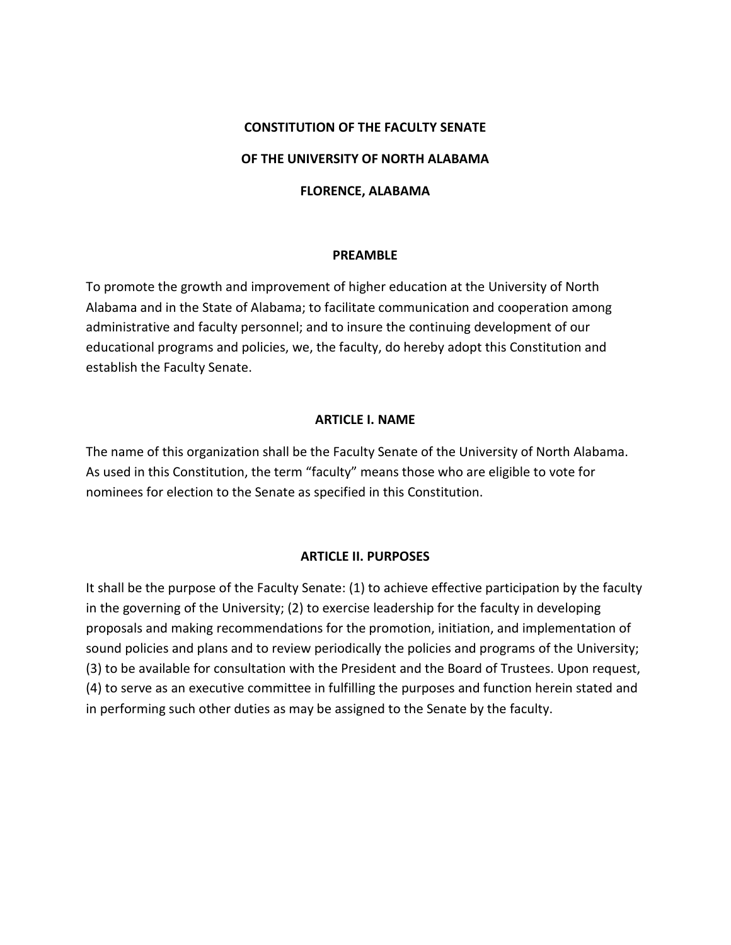### **CONSTITUTION OF THE FACULTY SENATE**

#### **OF THE UNIVERSITY OF NORTH ALABAMA**

#### **FLORENCE, ALABAMA**

#### **PREAMBLE**

To promote the growth and improvement of higher education at the University of North Alabama and in the State of Alabama; to facilitate communication and cooperation among administrative and faculty personnel; and to insure the continuing development of our educational programs and policies, we, the faculty, do hereby adopt this Constitution and establish the Faculty Senate.

### **ARTICLE I. NAME**

The name of this organization shall be the Faculty Senate of the University of North Alabama. As used in this Constitution, the term "faculty" means those who are eligible to vote for nominees for election to the Senate as specified in this Constitution.

#### **ARTICLE II. PURPOSES**

It shall be the purpose of the Faculty Senate: (1) to achieve effective participation by the faculty in the governing of the University; (2) to exercise leadership for the faculty in developing proposals and making recommendations for the promotion, initiation, and implementation of sound policies and plans and to review periodically the policies and programs of the University; (3) to be available for consultation with the President and the Board of Trustees. Upon request, (4) to serve as an executive committee in fulfilling the purposes and function herein stated and in performing such other duties as may be assigned to the Senate by the faculty.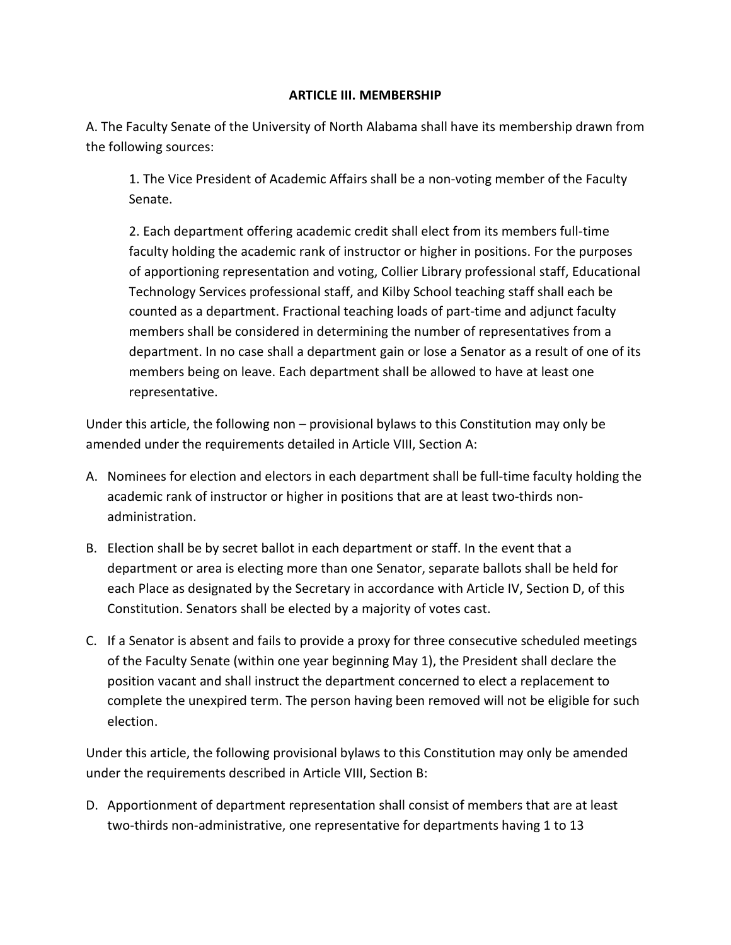## **ARTICLE III. MEMBERSHIP**

A. The Faculty Senate of the University of North Alabama shall have its membership drawn from the following sources:

1. The Vice President of Academic Affairs shall be a non-voting member of the Faculty Senate.

2. Each department offering academic credit shall elect from its members full-time faculty holding the academic rank of instructor or higher in positions. For the purposes of apportioning representation and voting, Collier Library professional staff, Educational Technology Services professional staff, and Kilby School teaching staff shall each be counted as a department. Fractional teaching loads of part-time and adjunct faculty members shall be considered in determining the number of representatives from a department. In no case shall a department gain or lose a Senator as a result of one of its members being on leave. Each department shall be allowed to have at least one representative.

Under this article, the following non – provisional bylaws to this Constitution may only be amended under the requirements detailed in Article VIII, Section A:

- A. Nominees for election and electors in each department shall be full-time faculty holding the academic rank of instructor or higher in positions that are at least two-thirds nonadministration.
- B. Election shall be by secret ballot in each department or staff. In the event that a department or area is electing more than one Senator, separate ballots shall be held for each Place as designated by the Secretary in accordance with Article IV, Section D, of this Constitution. Senators shall be elected by a majority of votes cast.
- C. If a Senator is absent and fails to provide a proxy for three consecutive scheduled meetings of the Faculty Senate (within one year beginning May 1), the President shall declare the position vacant and shall instruct the department concerned to elect a replacement to complete the unexpired term. The person having been removed will not be eligible for such election.

Under this article, the following provisional bylaws to this Constitution may only be amended under the requirements described in Article VIII, Section B:

D. Apportionment of department representation shall consist of members that are at least two-thirds non-administrative, one representative for departments having 1 to 13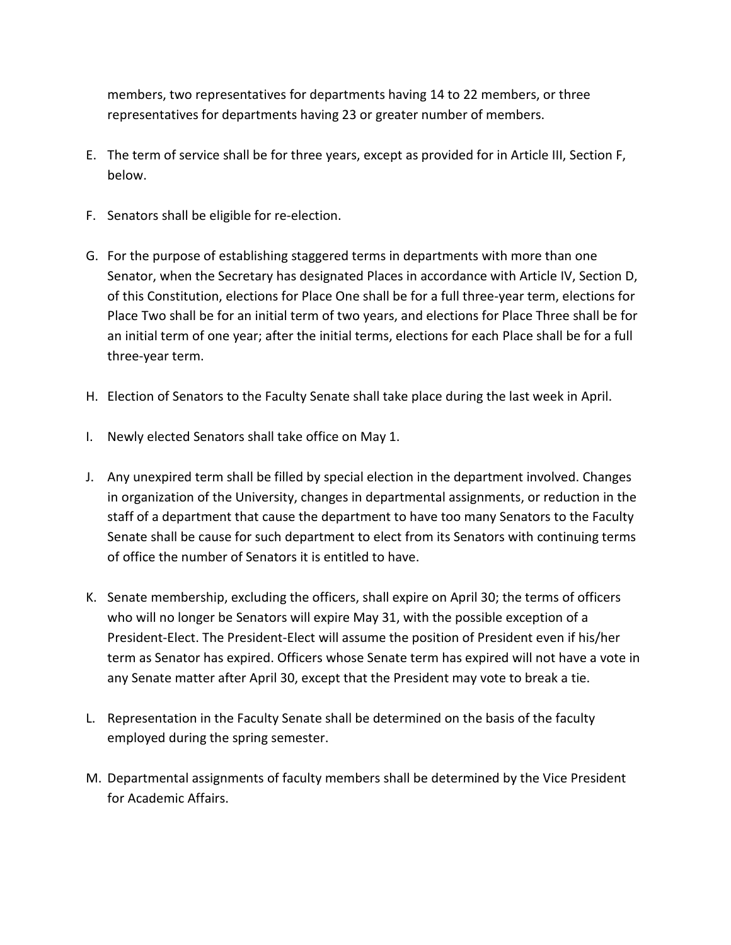members, two representatives for departments having 14 to 22 members, or three representatives for departments having 23 or greater number of members.

- E. The term of service shall be for three years, except as provided for in Article III, Section F, below.
- F. Senators shall be eligible for re-election.
- G. For the purpose of establishing staggered terms in departments with more than one Senator, when the Secretary has designated Places in accordance with Article IV, Section D, of this Constitution, elections for Place One shall be for a full three-year term, elections for Place Two shall be for an initial term of two years, and elections for Place Three shall be for an initial term of one year; after the initial terms, elections for each Place shall be for a full three-year term.
- H. Election of Senators to the Faculty Senate shall take place during the last week in April.
- I. Newly elected Senators shall take office on May 1.
- J. Any unexpired term shall be filled by special election in the department involved. Changes in organization of the University, changes in departmental assignments, or reduction in the staff of a department that cause the department to have too many Senators to the Faculty Senate shall be cause for such department to elect from its Senators with continuing terms of office the number of Senators it is entitled to have.
- K. Senate membership, excluding the officers, shall expire on April 30; the terms of officers who will no longer be Senators will expire May 31, with the possible exception of a President-Elect. The President-Elect will assume the position of President even if his/her term as Senator has expired. Officers whose Senate term has expired will not have a vote in any Senate matter after April 30, except that the President may vote to break a tie.
- L. Representation in the Faculty Senate shall be determined on the basis of the faculty employed during the spring semester.
- M. Departmental assignments of faculty members shall be determined by the Vice President for Academic Affairs.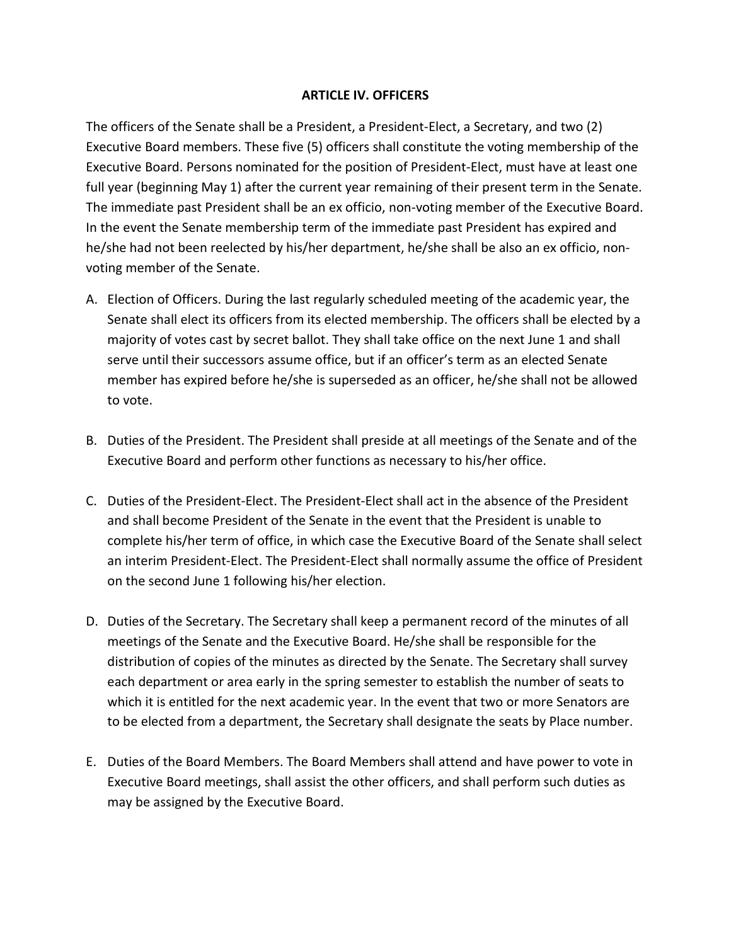### **ARTICLE IV. OFFICERS**

The officers of the Senate shall be a President, a President-Elect, a Secretary, and two (2) Executive Board members. These five (5) officers shall constitute the voting membership of the Executive Board. Persons nominated for the position of President-Elect, must have at least one full year (beginning May 1) after the current year remaining of their present term in the Senate. The immediate past President shall be an ex officio, non-voting member of the Executive Board. In the event the Senate membership term of the immediate past President has expired and he/she had not been reelected by his/her department, he/she shall be also an ex officio, nonvoting member of the Senate.

- A. Election of Officers. During the last regularly scheduled meeting of the academic year, the Senate shall elect its officers from its elected membership. The officers shall be elected by a majority of votes cast by secret ballot. They shall take office on the next June 1 and shall serve until their successors assume office, but if an officer's term as an elected Senate member has expired before he/she is superseded as an officer, he/she shall not be allowed to vote.
- B. Duties of the President. The President shall preside at all meetings of the Senate and of the Executive Board and perform other functions as necessary to his/her office.
- C. Duties of the President-Elect. The President-Elect shall act in the absence of the President and shall become President of the Senate in the event that the President is unable to complete his/her term of office, in which case the Executive Board of the Senate shall select an interim President-Elect. The President-Elect shall normally assume the office of President on the second June 1 following his/her election.
- D. Duties of the Secretary. The Secretary shall keep a permanent record of the minutes of all meetings of the Senate and the Executive Board. He/she shall be responsible for the distribution of copies of the minutes as directed by the Senate. The Secretary shall survey each department or area early in the spring semester to establish the number of seats to which it is entitled for the next academic year. In the event that two or more Senators are to be elected from a department, the Secretary shall designate the seats by Place number.
- E. Duties of the Board Members. The Board Members shall attend and have power to vote in Executive Board meetings, shall assist the other officers, and shall perform such duties as may be assigned by the Executive Board.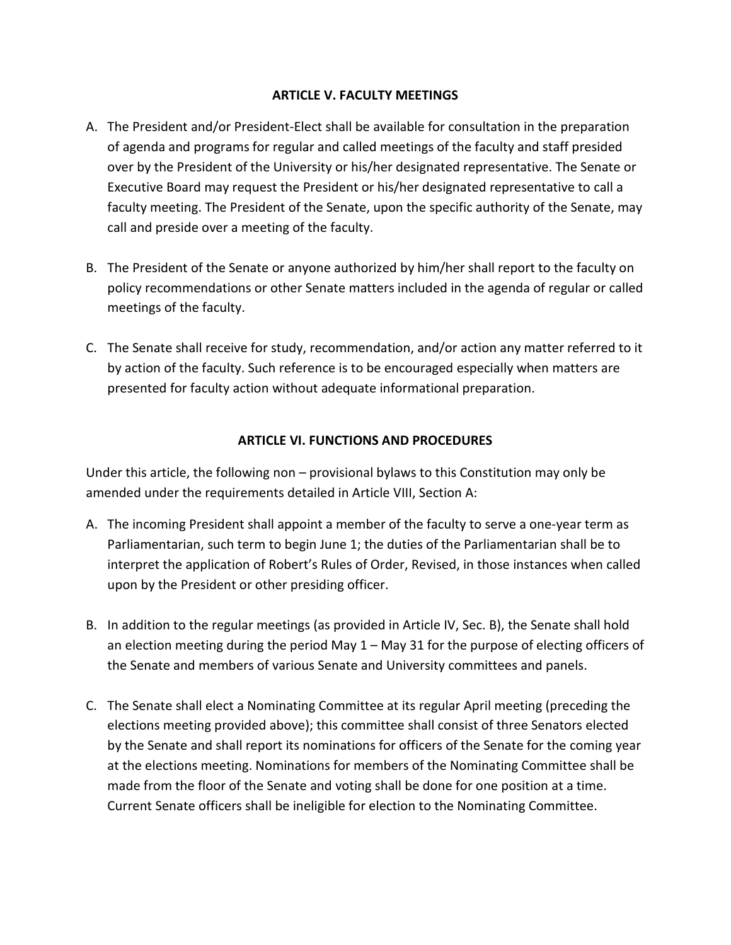## **ARTICLE V. FACULTY MEETINGS**

- A. The President and/or President-Elect shall be available for consultation in the preparation of agenda and programs for regular and called meetings of the faculty and staff presided over by the President of the University or his/her designated representative. The Senate or Executive Board may request the President or his/her designated representative to call a faculty meeting. The President of the Senate, upon the specific authority of the Senate, may call and preside over a meeting of the faculty.
- B. The President of the Senate or anyone authorized by him/her shall report to the faculty on policy recommendations or other Senate matters included in the agenda of regular or called meetings of the faculty.
- C. The Senate shall receive for study, recommendation, and/or action any matter referred to it by action of the faculty. Such reference is to be encouraged especially when matters are presented for faculty action without adequate informational preparation.

# **ARTICLE VI. FUNCTIONS AND PROCEDURES**

Under this article, the following non – provisional bylaws to this Constitution may only be amended under the requirements detailed in Article VIII, Section A:

- A. The incoming President shall appoint a member of the faculty to serve a one-year term as Parliamentarian, such term to begin June 1; the duties of the Parliamentarian shall be to interpret the application of Robert's Rules of Order, Revised, in those instances when called upon by the President or other presiding officer.
- B. In addition to the regular meetings (as provided in Article IV, Sec. B), the Senate shall hold an election meeting during the period May  $1 -$  May 31 for the purpose of electing officers of the Senate and members of various Senate and University committees and panels.
- C. The Senate shall elect a Nominating Committee at its regular April meeting (preceding the elections meeting provided above); this committee shall consist of three Senators elected by the Senate and shall report its nominations for officers of the Senate for the coming year at the elections meeting. Nominations for members of the Nominating Committee shall be made from the floor of the Senate and voting shall be done for one position at a time. Current Senate officers shall be ineligible for election to the Nominating Committee.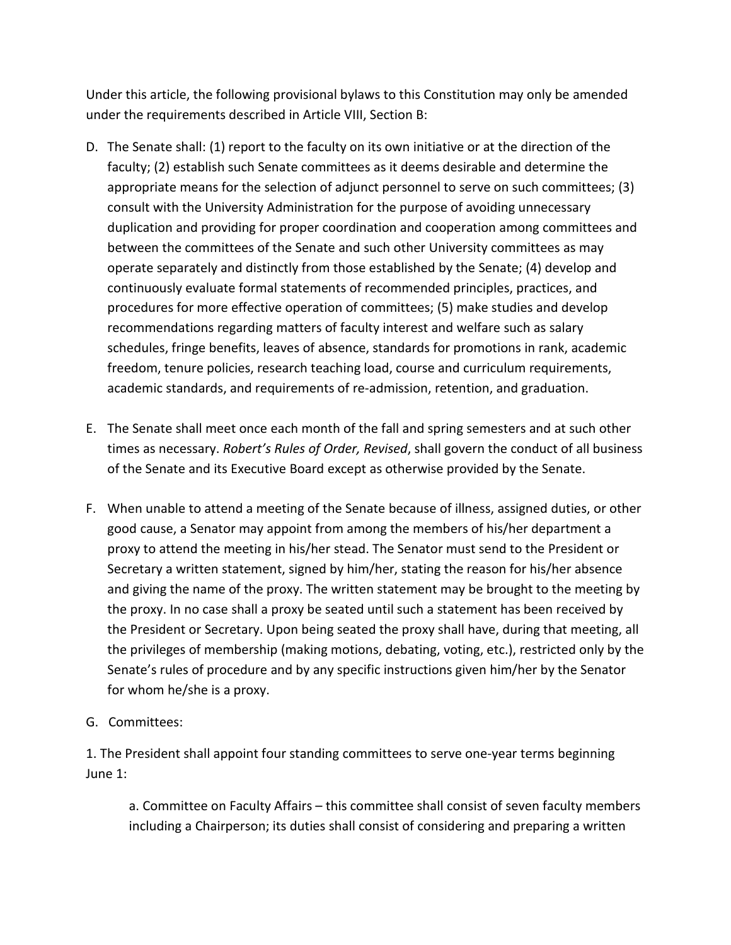Under this article, the following provisional bylaws to this Constitution may only be amended under the requirements described in Article VIII, Section B:

- D. The Senate shall: (1) report to the faculty on its own initiative or at the direction of the faculty; (2) establish such Senate committees as it deems desirable and determine the appropriate means for the selection of adjunct personnel to serve on such committees; (3) consult with the University Administration for the purpose of avoiding unnecessary duplication and providing for proper coordination and cooperation among committees and between the committees of the Senate and such other University committees as may operate separately and distinctly from those established by the Senate; (4) develop and continuously evaluate formal statements of recommended principles, practices, and procedures for more effective operation of committees; (5) make studies and develop recommendations regarding matters of faculty interest and welfare such as salary schedules, fringe benefits, leaves of absence, standards for promotions in rank, academic freedom, tenure policies, research teaching load, course and curriculum requirements, academic standards, and requirements of re-admission, retention, and graduation.
- E. The Senate shall meet once each month of the fall and spring semesters and at such other times as necessary. *Robert's Rules of Order, Revised*, shall govern the conduct of all business of the Senate and its Executive Board except as otherwise provided by the Senate.
- F. When unable to attend a meeting of the Senate because of illness, assigned duties, or other good cause, a Senator may appoint from among the members of his/her department a proxy to attend the meeting in his/her stead. The Senator must send to the President or Secretary a written statement, signed by him/her, stating the reason for his/her absence and giving the name of the proxy. The written statement may be brought to the meeting by the proxy. In no case shall a proxy be seated until such a statement has been received by the President or Secretary. Upon being seated the proxy shall have, during that meeting, all the privileges of membership (making motions, debating, voting, etc.), restricted only by the Senate's rules of procedure and by any specific instructions given him/her by the Senator for whom he/she is a proxy.
- G. Committees:

1. The President shall appoint four standing committees to serve one-year terms beginning June 1:

a. Committee on Faculty Affairs – this committee shall consist of seven faculty members including a Chairperson; its duties shall consist of considering and preparing a written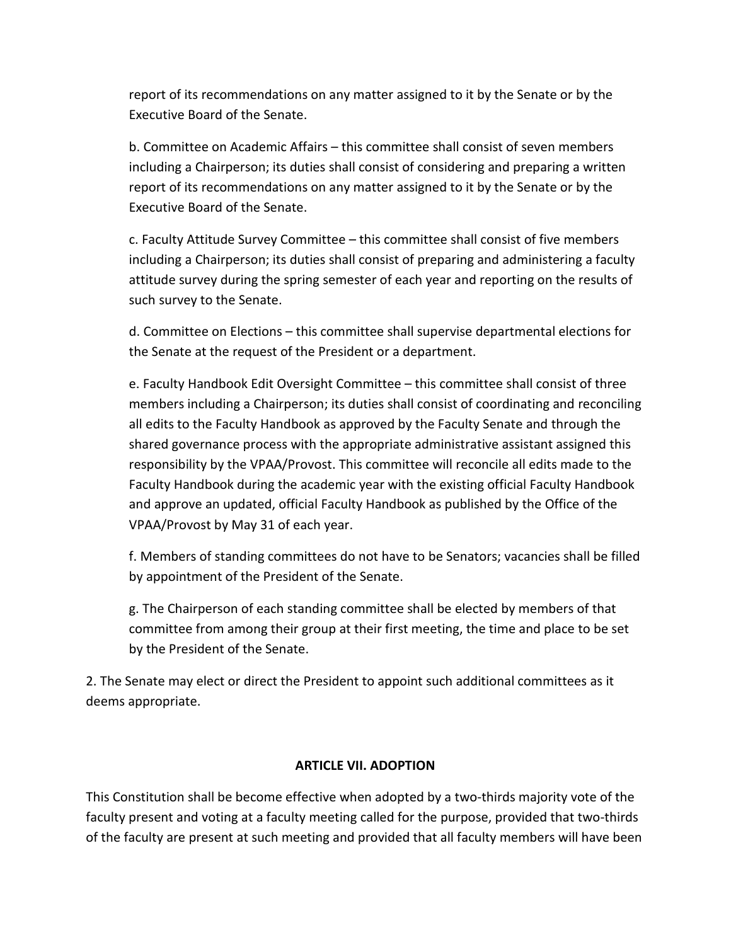report of its recommendations on any matter assigned to it by the Senate or by the Executive Board of the Senate.

b. Committee on Academic Affairs – this committee shall consist of seven members including a Chairperson; its duties shall consist of considering and preparing a written report of its recommendations on any matter assigned to it by the Senate or by the Executive Board of the Senate.

c. Faculty Attitude Survey Committee – this committee shall consist of five members including a Chairperson; its duties shall consist of preparing and administering a faculty attitude survey during the spring semester of each year and reporting on the results of such survey to the Senate.

d. Committee on Elections – this committee shall supervise departmental elections for the Senate at the request of the President or a department.

e. Faculty Handbook Edit Oversight Committee – this committee shall consist of three members including a Chairperson; its duties shall consist of coordinating and reconciling all edits to the Faculty Handbook as approved by the Faculty Senate and through the shared governance process with the appropriate administrative assistant assigned this responsibility by the VPAA/Provost. This committee will reconcile all edits made to the Faculty Handbook during the academic year with the existing official Faculty Handbook and approve an updated, official Faculty Handbook as published by the Office of the VPAA/Provost by May 31 of each year.

f. Members of standing committees do not have to be Senators; vacancies shall be filled by appointment of the President of the Senate.

g. The Chairperson of each standing committee shall be elected by members of that committee from among their group at their first meeting, the time and place to be set by the President of the Senate.

2. The Senate may elect or direct the President to appoint such additional committees as it deems appropriate.

# **ARTICLE VII. ADOPTION**

This Constitution shall be become effective when adopted by a two-thirds majority vote of the faculty present and voting at a faculty meeting called for the purpose, provided that two-thirds of the faculty are present at such meeting and provided that all faculty members will have been